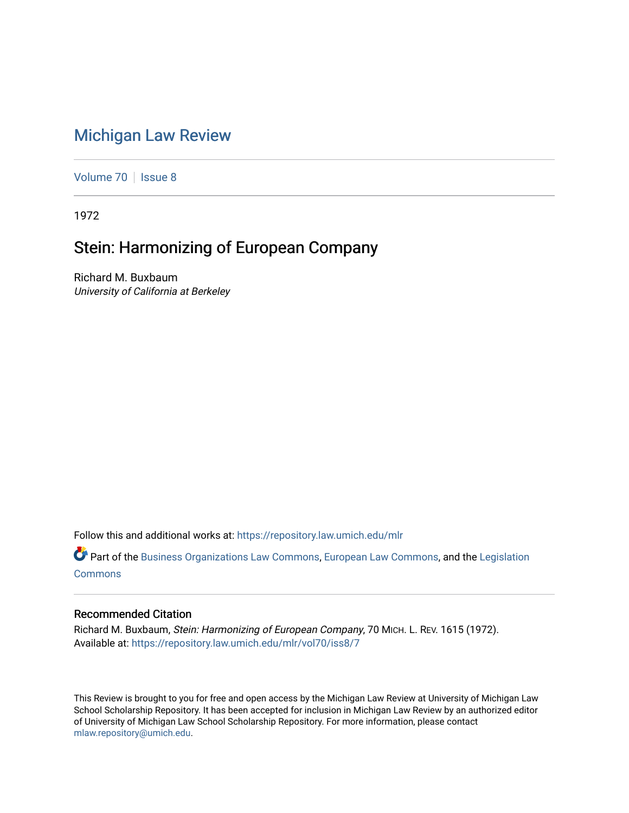## [Michigan Law Review](https://repository.law.umich.edu/mlr)

[Volume 70](https://repository.law.umich.edu/mlr/vol70) | [Issue 8](https://repository.law.umich.edu/mlr/vol70/iss8)

1972

## Stein: Harmonizing of European Company

Richard M. Buxbaum University of California at Berkeley

Follow this and additional works at: [https://repository.law.umich.edu/mlr](https://repository.law.umich.edu/mlr?utm_source=repository.law.umich.edu%2Fmlr%2Fvol70%2Fiss8%2F7&utm_medium=PDF&utm_campaign=PDFCoverPages) 

Part of the [Business Organizations Law Commons](http://network.bepress.com/hgg/discipline/900?utm_source=repository.law.umich.edu%2Fmlr%2Fvol70%2Fiss8%2F7&utm_medium=PDF&utm_campaign=PDFCoverPages), [European Law Commons](http://network.bepress.com/hgg/discipline/1084?utm_source=repository.law.umich.edu%2Fmlr%2Fvol70%2Fiss8%2F7&utm_medium=PDF&utm_campaign=PDFCoverPages), and the Legislation [Commons](http://network.bepress.com/hgg/discipline/859?utm_source=repository.law.umich.edu%2Fmlr%2Fvol70%2Fiss8%2F7&utm_medium=PDF&utm_campaign=PDFCoverPages)

## Recommended Citation

Richard M. Buxbaum, Stein: Harmonizing of European Company, 70 MICH. L. REV. 1615 (1972). Available at: [https://repository.law.umich.edu/mlr/vol70/iss8/7](https://repository.law.umich.edu/mlr/vol70/iss8/7?utm_source=repository.law.umich.edu%2Fmlr%2Fvol70%2Fiss8%2F7&utm_medium=PDF&utm_campaign=PDFCoverPages)

This Review is brought to you for free and open access by the Michigan Law Review at University of Michigan Law School Scholarship Repository. It has been accepted for inclusion in Michigan Law Review by an authorized editor of University of Michigan Law School Scholarship Repository. For more information, please contact [mlaw.repository@umich.edu.](mailto:mlaw.repository@umich.edu)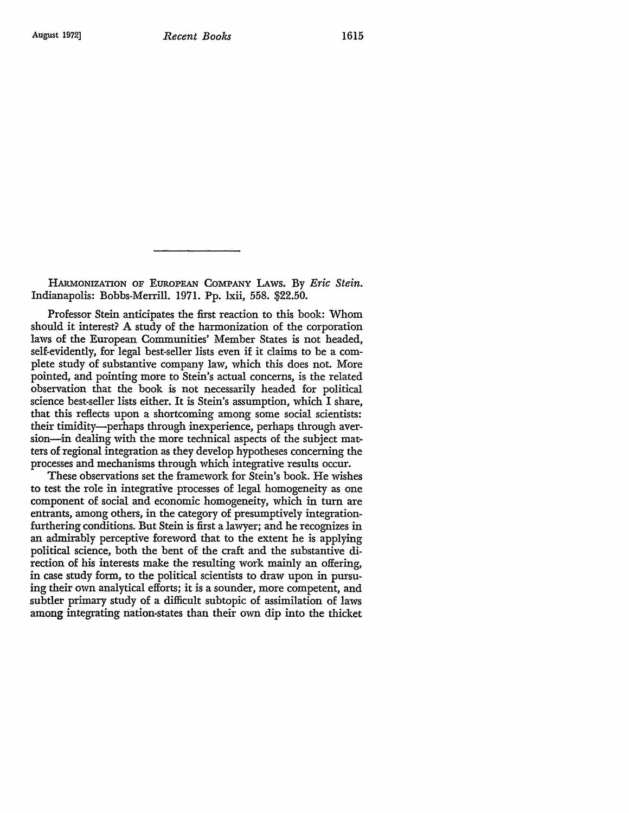HARMONIZATION OF EUROPEAN COMPANY LAws. By *Eric Stein.*  Indianapolis: Bobbs-Merrill. 1971. Pp. lxii, 558. \$22.50.

Professor Stein anticipates the first reaction to this book: Whom should it interest? A study of the harmonization of the corporation laws of the European Communities' Member States is not headed, self-evidently, for legal best-seller lists even if it claims to be a complete study of substantive company law, which this does not. More pointed, and pointing more to Stein's actual concerns, is the related observation that the book is not necessarily headed for political science best-seller lists either. It is Stein's assumption, which I share, that this reflects upon a shortcoming among some social scientists: their timidity-perhaps through inexperience, perhaps through aversion-in dealing with the more technical aspects of the subject matters of regional integration as they develop hypotheses concerning the processes and mechanisms through which integrative results occur.

These observations set the framework for Stein's book. He wishes to test the role in integrative processes of legal homogeneity as one component of social and economic homogeneity, which in turn are entrants, among others, in the category of presumptively integrationfurthering conditions. But Stein is first a lawyer; and he recognizes in an admirably perceptive foreword that to the extent he is applying political science, both the bent of the craft and the substantive direction of his interests make the resulting work mainly an offering, in case study form, to the political scientists to draw upon in pursuing their own analytical efforts; it is a sounder, more competent, and subtler primary study of a difficult subtopic of assimilation of laws among integrating nation-states than their own dip into the thicket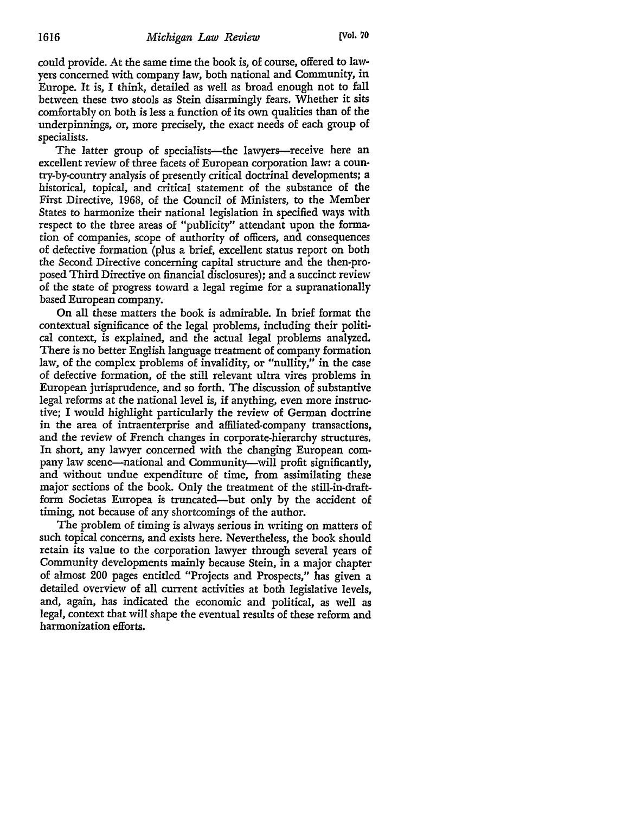could provide. At the same time the book is, of course, offered to lawyers concerned with company law, both national and Community, in Europe. It is, I think, detailed as well as broad enough not to fall between these two stools as Stein disarmingly fears. Whether it sits comfortably on both is less a function of its own qualities than of the underpinnings, or, more precisely, the exact needs of each group of specialists.

The latter group of specialists—the lawyers—receive here an excellent review of three facets of European corporation law: a country-by-country analysis of presently critical doctrinal developments; a historical, topical, and critical statement of the substance of the First Directive, 1968, of the Council of Ministers, to the Member States to harmonize their national legislation in specified ways with respect to the three areas of "publicity" attendant upon the forma• tion of companies, scope of authority of officers, and consequences of defective formation (plus a brief, excellent status report on both the Second Directive concerning capital structure and the then-proposed Third Directive on financial disclosures); and a succinct review of the state of progress toward a legal regime for a supranationally based European company.

On all these matters the book is admirable. In brief format the contextual significance of the legal problems, including their political context, is explained, and the actual legal problems analyzed. There is no better English language treatment of company formation law. of the complex problems of invalidity, or "nullity," in the case of defective formation, of the still relevant ultra vires problems in European jurisprudence, and so forth. The discussion of substantive legal reforms at the national level is, if anything, even more instructive; I would highlight particularly the review of German doctrine in the area of intraenterprise and affiliated-company transactions, and the review of French changes in corporate-hierarchy structures. In short, any lawyer concerned with the changing European company law scene-national and Community-will profit significantly, and without undue expenditure of time, from assimilating these major sections of the book. Only the treatment of the still-in-draftform Societas Europea is truncated-but only by the accident of timing, not because of any shortcomings of the author.

The problem of timing is always serious in writing on matters of such topical concerns, and exists here. Nevertheless, the book should retain its value to the corporation lawyer through several years of Community developments mainly because Stein, in a major chapter of almost 200 pages entitled "Projects and Prospects," has given a detailed overview of all current activities at both legislative levels, and, again, has indicated the economic and political, as well as legal, context that will shape the eventual results of these reform and harmonization efforts.